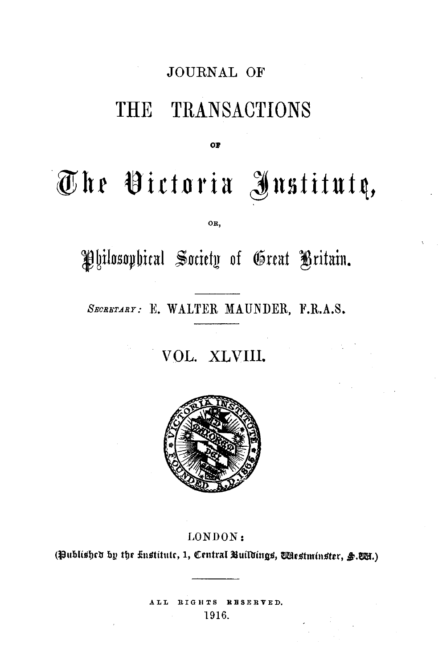# JOURNAL OF

# THE TRANSACTIONS

**o:,** 

# The Victoria Institutą,

OR,

Philosophical Society of Great Britain.

SECRETARY: E. WALTER MAUNDER, F.R.A.S.

VOL. XLVIII.



# LONDON:

(Published by the knstitute, 1, Central Buildings, Westminster, §.WH.)

ALL RIGHTS RESERVED. 1916.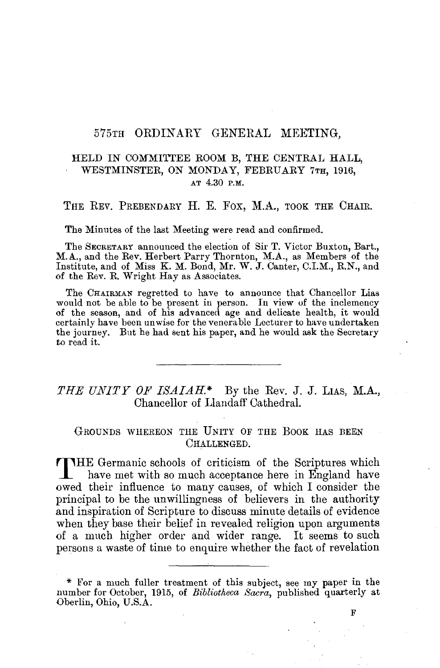#### 575TH ORDINARY GENERAL MEETING,

### HELD IN COMMITTEE ROOM B, THE CENTRAL HALL, WESTMINSTER, ON MONDAY, FEBRUARY 7TH, 1916, AT 4.30 P.M.

#### THE REV. PREBENDARY H. E. FOX, M.A., TOOK THE CHAIR.

The Minutes of the last Meeting were read and confirmed.

The SECRETARY announced the election of Sir T. Victor Buxton, Bart., M.A., and the Rev. Herbert Parry Thornton, M.A., as Members of the Institute, and of Miss K. M. Bond, Mr. W. J. Canter, C.I.M., R.N., and of the Rev. R. Wright Hay as Associates.

The CHAIRMAN regretted to have to announce that Chancellor Lias would not be able to be present in person. In view of the inclemency of the season, and of his advanced age and delicate health, it would certainly have been unwise for the venerable Lecturer to have undertaken the journey. But he had sent his paper, and he would ask the Secretary to read it.

# *THE UNITY OF ISAIAH.\** By the Rev. J. J. LIAS, **M.A..,**  Chancellor of Llandaff Cathedral.

# GROUNDS WHEREON THE UNITY OF THE BOOK HAS BEEN CHALLENGED.

THE Germanic schools of criticism of the Scriptures which have met with so much acceptance here in England have owed their influence to many causes, of which I consider the principal to be the unwillingness of believers in the authority and inspiration of Scripture to discuss minute details of evidence when they base their belief in revealed religion upon arguments of a much higher order and wider range. It seems to such persons a waste of time to enquire whether the fact of revelation

<sup>\*</sup> For a much fuller treatment of this subject, see my paper in the number for October, 1915, of *Bibliotheca Sacra,* published quarterly at Oberlin, Ohio, U.S.A.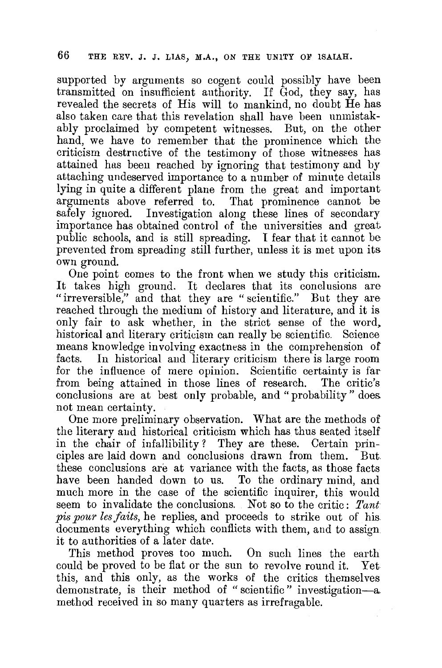supported by arguments so cogent could possibly have been transmitted on insufficient authority. If God, they say, has revealed the secrets of His will to mankind, no doubt He has also taken care that this revelation shall have been unmistakably proclaimed by competent witnesses. But, on the other hand, we have to remember that the prominence which the criticism destructive of the testimony of those witnesses has attained has been reached by ignoring that testimony and by attaching undeserved importance to a number of minute details lying in quite a different plane from the great and important arguments above referred to. That prominence cannot be safely ignored. Investigation along these lines of secondary importance has obtained control of the universities and great. public schools, and is still spreading. I fear that it cannot be prevented from spreading still further, unless it is met upon its own ground.

One point comes to the front when we study this criticism. It takes high ground. It declares that its conclusions are "irreversible," and that they are "scientific." But they are reached through the medium of history and literature, and it is only fair to ask whether, in the strict sense of the word, historical and literary criticism can really be scientific. Science means knowledge involving exactness in the comprehension of facts. In historical and literary criticism there is large room for the influence of mere opinion. Scientific certainty is far from being attained in those lines of research. The critic's conclusions are at best only probable, and "probability" does. not mean certainty.

One more preliminary observation. What are the methods of the literary and historical criticism which has thus seated itself in the chair of infallibility? They are these. Certain principles are laid down and conclusions drawn from them. But these conclusions are at variance with the facts, as those facts have been handed down to us. To the ordinary mind, and much more in the case of the scientific inquirer, this would seem to invalidate the conclusions. Not so to the critic: *Tant pis pour les faits,* he replies, and proceeds to strike out of his documents everything which conflicts with them, and to assign it to authorities of a later date.

This method proves too much. On such lines the earth could be proved to be flat or the sun to revolve round it. Yet this, and this only, as the works of the critics themselves demonstrate, is their method of "scientific" investigation-a. method received in so many quarters as irrefragable.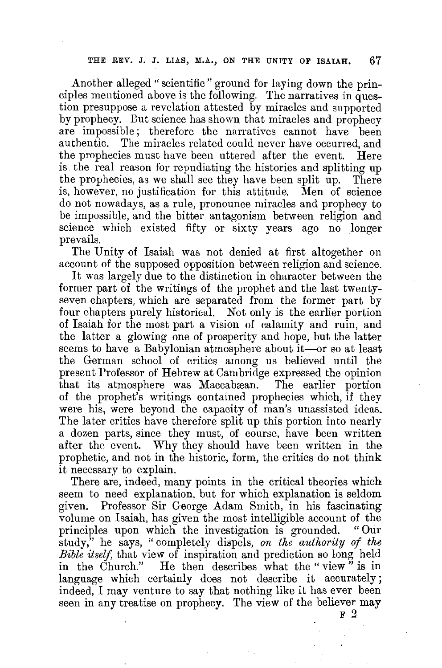Another alleged" scientific" ground for laying down the principles mentioned above is the following. The narratives in question presuppose a revelation attested by miracles and supported by prophecy. Dut science has shown that miracles and prophecy are impossible; therefore the narratives cannot have been authentic. The miracles related could never have occurred, and the prophecies must have been uttered after the event. Here is. the real reason for repudiating the histories and splitting up the prophecies, as we shall see they have been split up. There is, however, no justification for this attitude. Men of science do not nowadays, as a rule, pronounce miracles and prophecy to be impossible, and the bitter antagonism between religion and science which existed fifty or sixty years ago no longer prevails.

The Unity of Isaiah was not denied at first altogether on account of the supposed opposition between religion and science.

It was largely due to the distinction in character between the former part of the writings of the prophet and the last twentyseven chapters, which are separated from the former part by four chapters purely historical. Not only is the earlier portion of Isaiah for the most part a vision of calamity and ruin, and the latter a glowing one of prosperity and hope, but the latter seems to have a Babylonian atmosphere about it—or so at least the German school of critics among us believed until the present Professor of Hebrew at Cambridge expressed the opinion that its atmosphere was Maccabæan. The earlier portion of the prophet's writings contained prophecies which, if they were his, were beyond the capacity of man's unassisted ideas. The later critics have therefore split up this portion into nearly a dozen parts, since they must, of course, have been written after the event. Why they should have been written in the prophetic, and not in the historic, form, the critics do not think it necessary to explain.

There are, indeed, many points in the critical theories which seem to need explanation, but for which explanation is seldom given. Professor Sir George Adam Smith, in his fascinating volume on Isaiah, has given the most intelligible account of the principles upon which the investigation is grounded. "Our study," he says, " completely dispels, *on the authority of the Bible itself,* that view of inspiration and prediction so long held in the Church." He then describes what the "view" is in language which certainly does not describe it accurately; indeed, I may venture to say that nothing like it has ever been seen in any treatise on prophecy. The view of the believer may

F *2*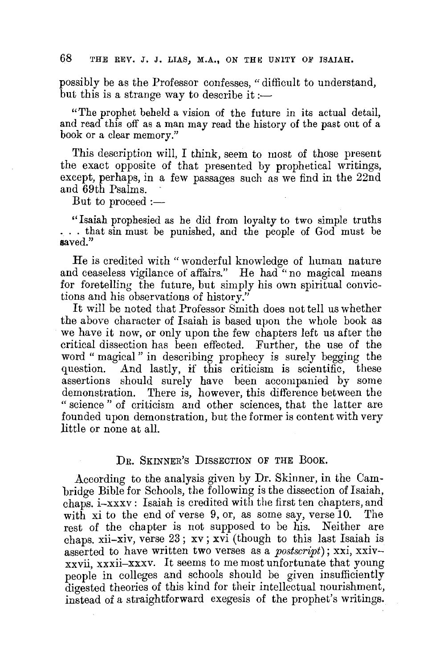possibly be as the Professor confesses, "difficult to understand, but this is a strange way to describe it:—

"The prophet beheld a vision of the future in its actual detail, and read this off as a man may read the history of the past out of a book or a clear memory."

This description will, I think, seem to most of those present the exact opposite of that presented by prophetical writings, except, perhaps, in a few passages such as we find in the 22nd and 69th Psalms.

But to proceed  $:=$ 

" Isaiah prophesied as he did from loyalty to two simple truths ... that sin must be punished, and the people of God must be **saved."** 

He is credited with "wonderful knowledge of human nature and ceaseless vigilance of affairs." He had "no magical means for foretelling the future, but simply his own spiritual convictions and his observations of history."

It will be noted that Professor Smith does not tell us whether the above character of Isaiah is based upon the whole book as we have it now, or only upon the few chapters left us after the critical dissection has been effected. Further, the use of the word "magical" in describing prophecy is surely begging the question. And lastly, if this criticism is scientific, these assertions should surely have been accompanied by some demonstration. There is, however, this difference between the " science " of criticism and other sciences, that the latter are founded upon demonstration, but the former is content with very little or none at all.

#### DR. SKINNER'S DISSECTION OF THE BOOK.

According to the analysis given by Dr. Skinner, in the Cambridge Bible for Schools, the following is the dissection of Isaiah, chaps. i-xxxv: Isaiah is credited with the first ten chapters, and with xi to the end of verse 9, or, as some say, verse 10. The rest of the chapter is not supposed to be his. Neither are chaps. xii-xiv, verse 23; xv; xvi (though to this last Isaiah is asserted to have written two verses as a *postscript);* xxi, xxivxxvii, xxxii-xxxv. It seems to me most unfortunate that young people in colleges and schools should be given insufficiently digested theories of this kind for their intellectual nourishment, instead of a straightforward exegesis of the prophet's writings.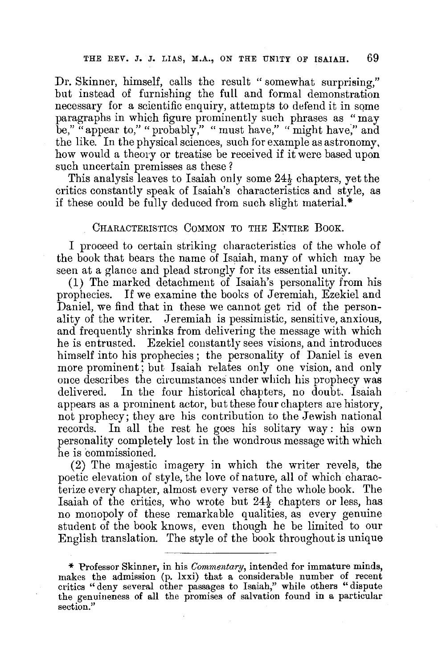Dr. Skinner, himself, calls the result "somewhat surprising," but instead of furnishing the full and formal demonstration necessary for a scientific enquiry, attempts to defend it in some paragraphs in which figure prominently such phrases as "may be," "appear to," "probably," "must have," "might have," and the like. In the physical sciences, such for example as astronomy, how would a theory or treatise be received if it were based upon such uncertain premisses as these?

This analysis leaves to Isaiah only some 24½ chapters, yet the critics constantly speak of Isaiah's characteristics and style, as if these could be fully deduced from such slight material.\*

#### CHARACTERISTICS COMMON TO THE ENTIRE BOOK.

I proceed to certain striking characteristics of the whole of the book that bears the name of Isaiah, many of which may be seen at a glance and plead strongly for its essential unity.

(1) The marked detachment of Isaiah's personality from his prophecies. If we examine the books of Jeremiah, Ezekiel and Daniel, we find that in these we cannot get rid of the personality of the writer. Jeremiah is pessimistic, sensitive, anxious, and frequently shrinks from delivering the message with which he is entrusted. Ezekiel constantly sees visions, and introduces himself into his prophecies ; the personality of Daniel is even more prominent; but Isaiah relates only one vision, and only once describes the circumstances under which his prophecy was delivered. In the four historical chapters, no doubt. Isaiah appears as a prominent actor, but these four chapters are history, not prophecy; they are his contribution to the Jewish national records. In all the rest he goes his solitary way: his own personality completely lost in the wondrous message with which he is commissioned.

(2) The majestic imagery in which the writer revels, the poetic elevation of style, the love of nature, all of which characterize every chapter, almost every verse of the whole book. The Isaiah of the critics, who wrote but  $24\frac{1}{2}$  chapters or less, has no monopoly of these remarkable qualities, as every genuine student of the book knows, even though he be limited to our English translation. The style of the book throughout is unique

\* Professor Skinner, in his *Commentary*, intended for immature minds, makes the admission (p. lxxi) that a considerable number of recent critics "deny several other passages to Isaiah," while others "dispute the genuineness of all the promises of salvation found in a particular section."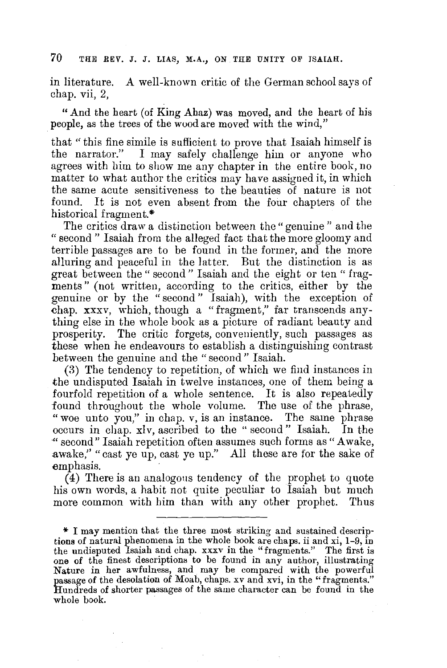in literature. A well-known critic of the German school says of chap. vii, 2,

"And the heart (of King Ahaz) was moved, and the heart of his people, as the trees of the wood are moved with the wind,"

that "this fine simile is sufficient to prove that Isaiah himself is the narrator." I may safely challenge him or anyone who agrees with him to show me any chapter in the entire book, no matter to what author the critics may have assigned it, in which the same acute sensitiveness to the beauties of nature is not found. It is not even absent from the four chapters of the historical fragment.\*

The critics draw a distinction between the" genuine" and the " second " Isaiah from the alleged fact that the more gloomy and terrible passages are to be found in the former, and the more alluring and peaceful in the latter. But the distinction is as great between the" second" Isaiah and the eight or ten" fragments" (not written, according to the critics, either by the genuine or by the "second" Isaiah), with the exception of chap. xxxv, which, though a "fragment," far transcends anything else in the whole book as a picture of radiant beauty and prosperity. The critic forgets, conveniently, such passages as these when he endeavours to establish a distinguishing contrast between the genuine and the "second" Isaiah.

(3) The tendency to repetition, of which we find instances in the undisputed Isaiah in twelve instances, one of them being a fourfold repetition of a whole sentence. It is also repeatedly found throughout the whole volume. The use of the phrase, "woe unto you," in chap. v, is an instance. The same phrase occurs in chap. xlv, ascribed to the "second" Isaiah. In the ·" second" Isaiah repetition often assumes such forms as "Awake, awake," "cast ye up, cast ye up." All these are for the sake of emphasis.

(4) There is an analogons tendency of the prophet to quote his own words, a habit not quite peculiar to Isaiah but much more common with him than with any other prophet. Thus

<sup>\*</sup> I may mention that the three most striking and sustained descriptions of natural phenomena in the whole book are chaps. ii and xi, 1-9, in the undisputed Isaiah and chap. xxxv in the "fragments." The first is one of the finest descriptions to be found in any author, illustrating Nature in her awfulness, and may be compared with the powerful passage of the desolation of Moab, chaps. *xv* and xvi, in the "fragments." Hundreds of shorter passages of the same character can be found in the whole book.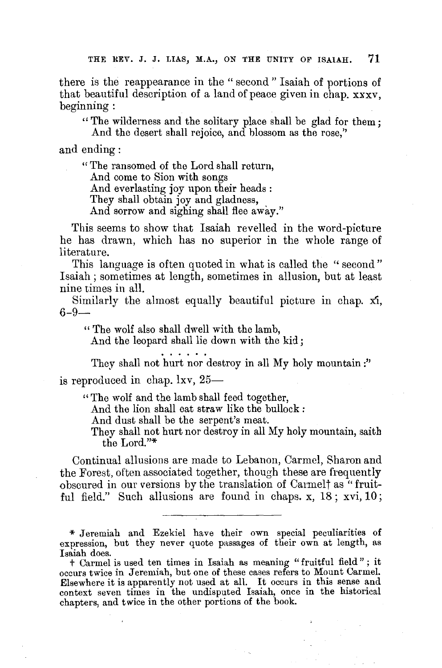there is the reappearance in the " second " Isaiah of portions of that beautiful description of a land of peace given in chap. xxxv, beginning:

" The wilderness and the solitary place shall be glad for them; And the desert shall rejoice, and blossom as the rose,''

and ending:

" The ransomed of the Lord shall return,

And come to Sion with songs

And everlasting joy upon their heads :

They shall obtain joy and gladness,

And sorrow and sighing shall flee away."

This seems to show that Isaiah revelled in the word-picture he has drawn, which has no superior in the whole range of literature.

This language is often quoted in what is called the "second" Isaiah ; sometimes at length, sometimes in allusion, but at least nine times in all.

Similarly the almost equally beautiful picture in chap. xi,  $6 - 9 -$ 

" The wolf also shall dwell with the lamb,

And the leopard shall lie down with the kid;

They shall not hurt nor destroy in all My holy mountain:" is reproduced in chap. lxv,  $25-$ 

" The wolf and the lamb shall feed together,

And the lion shall eat straw like the bullock:

And dust shall be the serpent's meat.

They shall not hurt nor destroy in all My holy mountain, saith the Lord."\*

Continual allusions are made to Lebanon, Carmel, Sharon and the Forest, often associated together, though these are frequently obscured in our versions by the translation of Carmelt as "fruitful field." Such allusions are found in chaps. x, 18; xvi, 10;

\* Jeremiah and Ezekiel have their own special peculiarities of expression, but they never quote passages of their own at length, as Isaiah does.

t Carmel is used ten times in Isaiah as meaning "fruitful field" ; it occurs twice in Jeremiah, but one of these cases refers to Mount Carmel. Elsewhere it is apparently not used at all. It occurs in this sense and context seven times in the undisputed Isaiah, once in the historical chapters, and twice **in** the other portions **of** the book.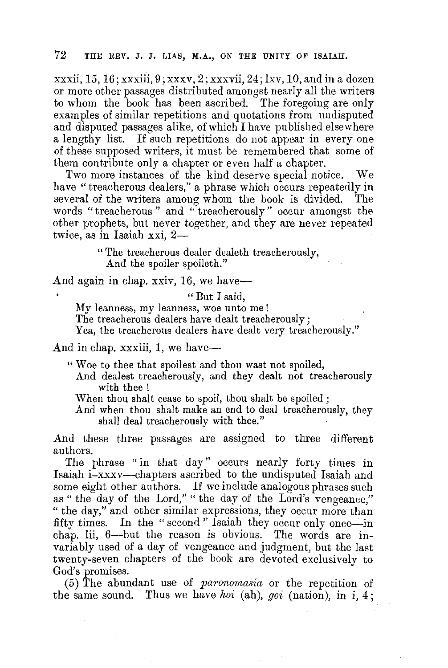xxxii,  $15, 16$ ; xxxiii,  $9$ ; xxxv,  $2$ ; xxxvii,  $24$ ; lxv,  $10$ , and in a dozen or more other passages distributed amongst nearly all the writers to whom the book has been ascribed. The foregoing are only examples of similar repetitions and quotations from undisputed and disputed passages alike, of which I have published elsewhere a lengthy list. If such repetitions do not appear in every one of these supposed writers, it must be remembered that some of them contribute only a chapter or even half a chapter.

Two more instances of the kind deserve special notice. We have "treacherous dealers," a phrase which occurs repeatedly in several of the writers among whom the book is divided. The words "treacherous " and " treacherously" occur amongst the other prophets, but never together, and they are never repeated twice, as in Isaiah xxi, 2-

> " The treacherous dealer dealeth treacherously, And the spoiler spoileth."

And again in chap. xxiv, 16, we have-

" But I said,

My leanness, my leanness, woe unto me!

The treacherous dealers have dealt treacherously;

Yea, the treacherous dealers have dealt very treacherously."

And in chap. xxxiii,  $1$ , we have-

" Woe to thee that spoilest and thou wast not spoiled,

And dealest treacherously, and they dealt not treacherously with thee!

When thou shalt cease to spoil, thou shalt be spoiled ;

And when thou shalt make an end to deal treacherously, they shall deal treacherously with thee."

And these three passages are assigned to three different authors.

The phrase "in that day" occurs nearly forty times in Isaiah i-xxxv-chapters ascribed to the undisputed Isaiah and some eight other authors. If we include analogous phrases such as " the day of the Lord," "the day of the Lord's vengeance," " the day," and other similar expressions, they occur more than fifty times. In the " second " Isaiah they occur only once-in chap. lii, 6-but the reason is obvious. The words are invariably used of a day of vengeance and judgment, but the last twenty-seven chapters of the book are devoted exclusively to God's promises.

(5) The abundant use of *paronomasia* or the repetition of the same sound. Thus we have *koi* (ah), *goi* (nation), in i, 4;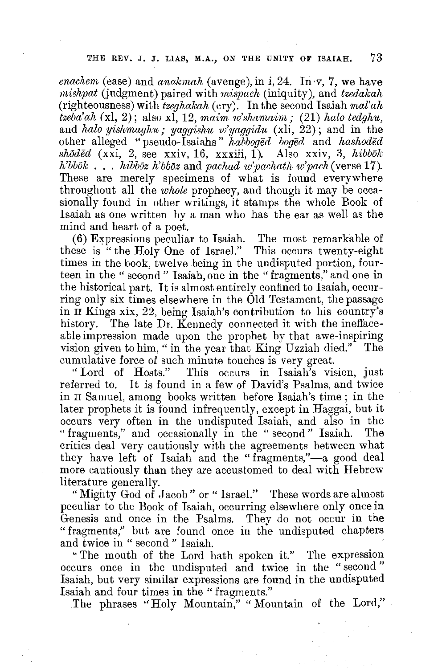*enachem* (ease) and *anakmah* (avenge), in i, 24. In ·v, 7, we have *mishpat* (judgment) paired with *mispach* (iniquity), and *tzedakah*  (righteousness) with *tzeghakah* (ery). In the second Isaiah *mal'ah tzeba'ah (xl,* 2); also xl, 12, *maim w'shamaini;* (21) *halo tedghu,*  and *halo yishmaghu; yaggishu w'yaggidu* (xli, 22); and in the other alleged "pseudo-Isaiahs" *habboged boged* and *hashoded shaded* (xxi, 2, see xxiv, 16, xxxiii, 1). Also xxiv, 3, *hibbok h'Mok* . . . *hibboz h'bboz* and *pachad w'pachath w'pach* ( verse 17 ). These are merely specimens of what is found everywhere throughout all the *whole* prophecy, and though it may be occasionally found in other writings, it stamps the whole Book of Isaiah as one written bv a man who has the ear as well as the mind and heart of a poet.

(6) Expressions peculiar to Isaiah. The most remarkable of these is "the Holy One of Israel." This occurs twenty-eight times in the book, twelve being in the undisputed portion, fourteen in the "second" Isaiah, one in the "fragments," and one in the historical part. It is almost entirely confined to Isaiah, occurring only six times elsewhere in the Old Testament, the passage in II Kings xix, 22, being Isaiah's contribution to his country's history. The late Dr. Kennedy connected it with the ineffaceable impression made upon the prophet by that awe-inspiring vision given to him, " in the year that King Uzziah died." The

cumulative force of such minute touches is very great. This occurs in Isaiah's vision, just referred to. It is found in a few of David's Psalms, and twice in II Samuel, among books written before Isaiah's time; in the later prophets it is found infrequently, except in Haggai, but it occurs very often in the undisputed Isaiah, and also in the " fragments," and occasionally in the " second" Isaiah. The critics deal very cautiously with the agreements between what they have left of Isaiah and the "fragments,"-a good deal more cautiously than they are accustomed to deal with Hebrew literature generally.

"Mighty God of Jacob" or "Israel." These words are almost peculiar to the Book of Isaiah, occurring elsewhere only once in Genesis and once in the Psalms. They do not occur in the "fragments," but are found once in the undisputed chapters and twice in " second " Isaiah.

" The mouth of the Lord hath spoken it." The expression occurs once in the undisputed and twice in the "second " Isaiah, but very similar expressions are found in the undisputed Isaiah and four times in the "fragments."

.The phrases "Holy Mountain," " Mountain of the Lord,"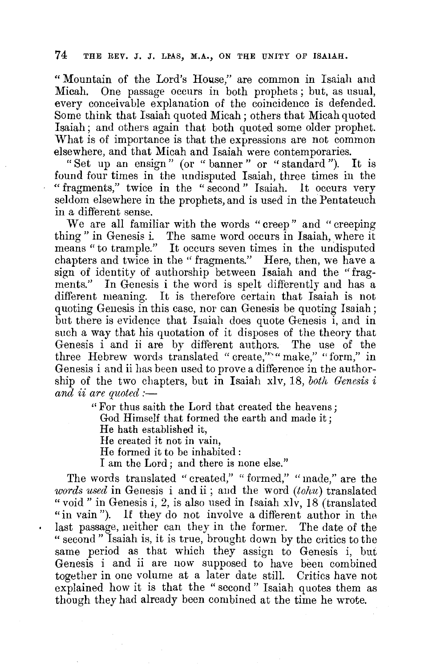" Mountain of the Lord's House," are common in Isaiah and Micah. One passage occurs in both prophets ; but, as usual, every conceivable explanation of the coincidence is defended. Some think that Isaiah quoted Micah; others that Micah quoted Isaiah; and others again that both quoted some older prophet. What is of importance is that the expressions are not common elsewhere, and that Micah and Isaiah were contemporaries.

"Set up an ensign" (or "banner" or "standard"). It is found four times in the undisputed Isaiah, three times in the "fragments," twice in the "second" Isaiah. 1t occurs very seldom elsewhere in the prophets, and is used in the Pentateuch in a different sense.

We are all familiar with the words "creep" and " creeping thing" in Genesis i. The same word occurs in Isaiah, where it means " to trample." It occurs seven times in the undisputed chapters and twice in the '' fragments." Here, then, we have a sign of identity of authorship between Isaiah and the "fragments." In Genesis i the word is spelt differently and has a different meaning. It is therefore certain that Isaiah is not quoting Genesis in this case, nor can Genesis be quoting Isaiah; but there is evidence that Isaiah does quote Genesis i, and in such a way that his quotation of it disposes of the theory that Genesis i and ii are by different authors. The use of the three Hebrew words translated "create,"<sup>\*\*</sup>" make," "form," in Genesis i and ii has been used to prove a difference in the authorship of the two chapters, but in Isaiah xlv, 18, *both Genesis* i *and ii are quoted :-*

> " For thus saith the Lord that created the heavens; God Himself that formed the earth and made it; He hath established it, He created it not in vain, He formed it to be inhabited : I am the Lord; and there is none else."

The words translated "created," "formed," "made," are the *words used* in Genesis i and ii ; and the word *(tohu)* translated "void" in Genesis i, 2, is also used in Isaiah xlv, 18 (translated "in vain"). If they do not involve a different author in the last passage, neither can they in the former. The date of the " second" Isaiah is, it is true, brought down by the critics to the same period as that which they assign to Genesis i, but Genesis i and ii are now supposed to have been combined together in one volume at a later date still. Critics have not explained how it is that the "second" Isaiah quotes them as though they had already been combined at the time he wrote.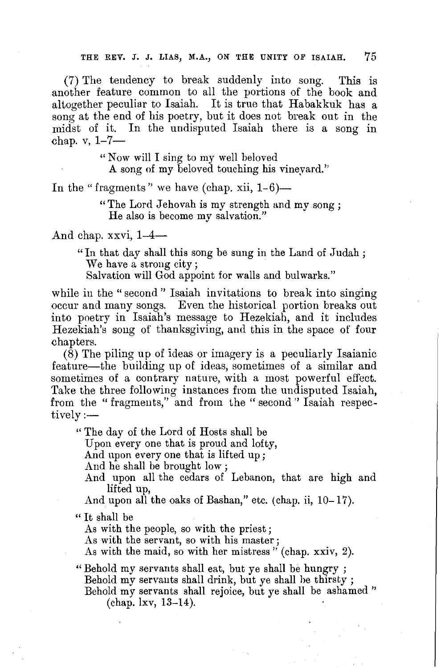(7) The tendency to break suddenly into song. This is another feature common to all the portions of the book and altogether peculiar to Isaiah. It is true that Habakkuk has a song at the end of his poetry, but it does not break out in the midst of it. In the undisputed faaiah there is a song in chap.  $v, 1-7-$ 

" Now will I sing to my well beloved

A song of my beloved touching his vineyard.''

In the "fragments" we have (chap. xii,  $1-6$ )-

" The Lord Jehovah is my strength and my song; He also is become my salvation."

And chap. xxvi,  $1-4-$ 

" In that day shall this song be sung in the Land of Judah ; We have a strong city;

Salvation will God appoint for walls and bulwarks."

while in the "second" Isaiah invitations to break into singing occur and many songs. Even the historical portion breaks out into poetry in Isaiah's message to Hezekiah, and it includes Hezekiah's song of thanksgiving, and this in the space of four chapters.

(8) The piling up of ideas or imagery is a peculiarly Isaianic feature-the building up of ideas, sometimes of a similar and sometimes of a contrary nature, with a most powerful effect. Take the three following instances from the undisputed Isaiah, from the "fragments," and from the "second" Isaiah respectively:—

" The day of the Lord of Hosts shall be

Upon every one that is proud and lofty,

And upon every one that is lifted up;

And he shall be brought low ;

And upon all the cedars of Lebanon, that are high and lifted up,

And upon all the oaks of Bashan," etc. (chap. ii, 10-17).

" It shall be

As with the people, so with the priest ;

As with the servant, so with his master;

As with the maid, so with her mistress" (chap. xxiv, 2).

"Behold my servants shall eat, but ye shall be hungry ; Behold my servants shall drink, but ye shall he thirsty ; Behold my servants shall rejoice, but ye shall be ashamed" (chap. lxv, 13-14).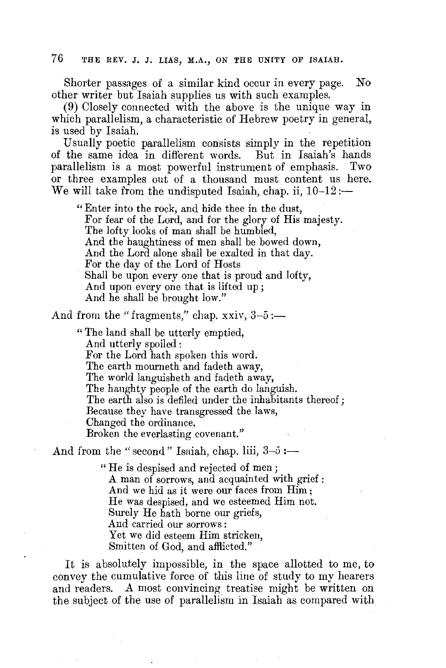Shorter passages of a similar kind occur in every page. No other writer but Isaiah supplies us with such examples.

(9) Closely connected with the above is the unique way in which parallelism, a characteristic of Hebrew poetry in general, is used by Isaiah.

Usually poetic parallelism consists simply in the repetition of the same idea in different words. But in Isaiah's hands parallelism is a most powerful instrument of emphasis. Two or three examples out of a thousand must content us here. We will take from the undisputed Isaiah, chap. ii,  $10-12$  :-

" Enter into the rock, and hide thee in the dust, For fear of the Lord, and for the glory of His majesty. The lofty looks of man shall be humbled, And the haughtiness of men shall be bowed down, And the Lord alone shall be exalted in that day. For the day of the Lord of Hosts Shall be upon every one that is proud and lofty, And upon every one that is lifted up ; And he shall be brought low."

And from the "fragments," chap.  $xxiv$ ,  $3-5 :=$ 

" The land shall be utterly emptied, And utterly spoiled : For the Lord hath spoken this word. The earth mourneth and fadeth away, The world languisheth and fadeth away, The haughty people of the earth do languish. The earth also is defiled under the inhabitants thereof; Because they have transgressed the laws, Changed the ordinance, Broken the everlasting covenant."

And from the "second" Isaiah, chap. liii,  $3-\overline{5}$  :-

" He is despised and rejected of men; A man of sorrows, and acquainted with grief : And we hid as it were our faces from Him; He was despised, and we esteemed Him not. Surely He hath borne our griefs, And carried our sorrows : Yet we did esteem Him stricken, Smitten of God, and afflicted."

It is absolutely impossible, in the space allotted to me, to convey the cumulative force of this line of study to my hearers and readers. A most convincing treatise might be written on the subject of the use of parallelism in Isaiah as compared with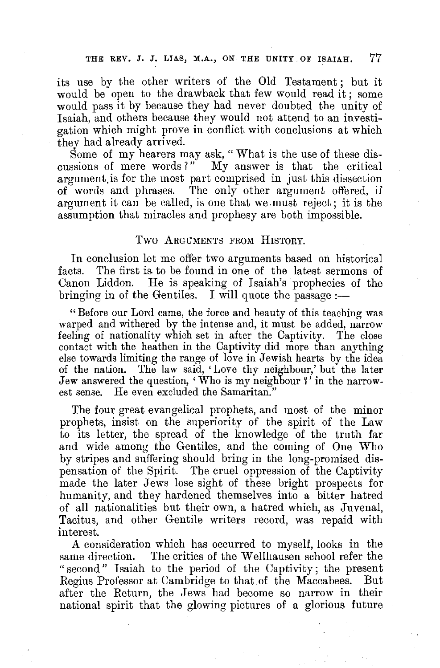its use by the other writers of the Old Testament ; but it would be open to the drawback that few would read it; some would pass it by because they had never doubted the unity of Isaiah, and others because they would not attend to an investigation which might prove in conflict with conclusions at which they had already arrived.

Some of my hearers may ask, "What is the use of these discussions of mere words?" My answer is that the critical argument.is for the most part comprised in just this dissection of words and phrases. The only other argument offered, if argument it can be called, is one that we.must reject; it is the assumption that miracles and prophesy are both impossible.

#### Two ARGUMENTS FROM HISTORY.

In conclusion let me offer two arguments based on historical facts. The first is to be found in one of the latest sermons of Canon Liddon. He is speaking of Isaiah's prophecies of the bringing in of the Gentiles. I will quote the passage  $:$ 

" Before our Lord came, the force and beauty of this teaching was warped and withered by the intense and, it must be added, narrow feeling of nationality which set in after the Captivity. The close contact with the heathen in the Captivity did more than anything else towards limiting the range of love in Jewish hearts by the idea of the nation. The law said, 'Love thy neighbour,' but the later Jew answered the question, 'Who is my neighbour *1'* in the narrowest sense. He even excluded the Samaritan."

The four great evangelical prophets, and most of the minor prophets, insist on the superiority of the spirit of the Law to its letter, the spread of the knowledge of the truth far and wide among the Gentiles, and the coming of One Who by stripes and suffering should bring in the long-promised dispensation of the Spirit. The cruel oppression of the Captivity made the later Jews lose sight of these bright prospects for humanity, and they hardened themselves into a bitter hatred of all nationalities but their own, a hatred which, as Juvenal, Tacitus, and other Gentile writers record, was repaid with interest.

**A** consideration which has occurred to myself, looks **in** the same direction. The critics of the Wellhausen school refer the " second" Isaiah to the period of the Captivity; the present Regius Professor at Cambridge to that of the Maccabees. But after the Return, the Jews had become so narrow in their national spirit that the glowing pictures of a glorious future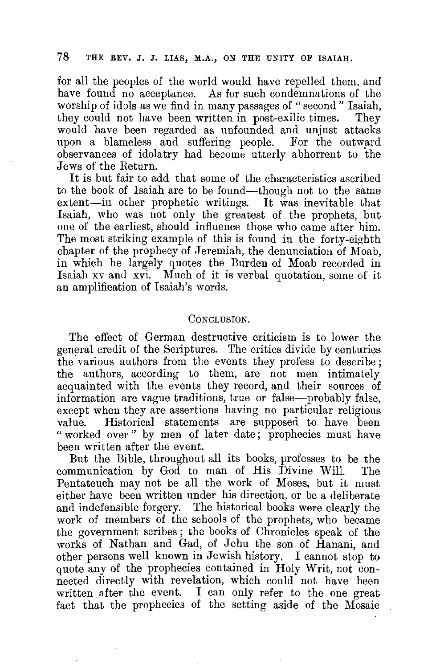for all the peoples of the world would have repelled them, and have found no acceptance. As for such condemnations of the worship of idols as we find in many passages of "second" Isaiah, they could not have been written in post-exilic times. They would have been regarded as unfounded and unjust attacks upon a blameless and suffering people. For the outward observances of idolatry had become utterly abhorrent to the Jews of the Return.

It is but fair to add that some of the characteristics ascribed to the book of Isaiah are to be found-though not to the same extent-in other prophetic writings. It was inevitable that Isaiah, who was not only the greatest of the prophets, but one of the earliest, should influence those who came after him. The most striking example of this is found in the forty-eighth chapter of the prophecy of Jeremiah, the denunciation of Moab, in which he largely quotes the Burden of Moab recorded in Isaiah xv and xvi. Much of it is verbal quotation, some of it an amplification of Isaiah's words.

#### CONCLUSION.

The effect of German destructive criticism is to lower the general credit of the Scriptures. The critics divide by centuries the various authors from the events they profess to describe; the authors, according to them, are not men intimately acquainted with the events they record, and their sources of information are vague traditions, true or false-probably false, except when they are assertions having no particular religious value. Historical statements are supposed to have been "worked over" by men of later date; prophecies must have been written after the event.

But the Bible, throughout all its books, professes to be the communication by God to man of His Divine Will. The Pentateuch may not be all the work of Moses, but it must either have been written under his direction, or be a deliberate and indefensible forgery. The historical books were clearly the work of members of the schools of the prophets, who became the government scribes ; the books of Chronicles speak of the works of Nathan and Gad, of Jehu the son of Hanani, and other persons well known in Jewish history. I cannot stop to quote any of the prophecies contained in Holy Writ, not connected directly with revelation, which could not have been written after the event. I can only refer to the one great fact that the prophecies of the setting aside of the Mosaic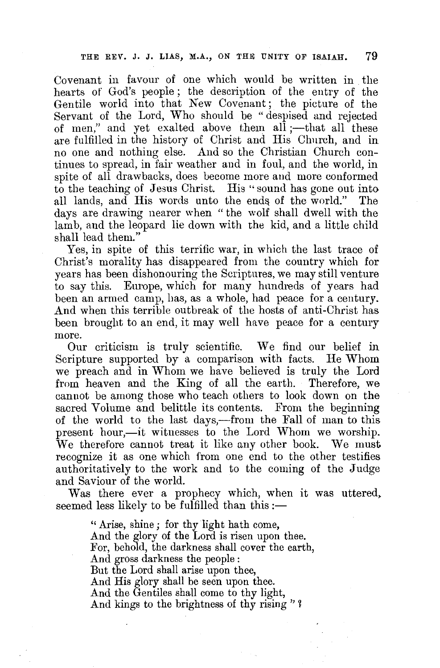Covenant in favour of one which would be written in the hearts of God's people ; the description of the entry of the Gentile world into that New Covenant; the picture of the Servant of the Lord, Who should be "despised and rejected of men," and yet exalted above them  $all$ ; --that all these are fulfilled in the history of Christ and His Church, and in no one and nothing else. And so the Christian Church continues to spread, in fair weather and in foul, and the world, in spite of all drawbacks, does become more and more conformed to the teaching of Jesus Christ. His "sound has gone out into all lands, and His words unto the ends of the world." The days are drawing nearer when "the wolf shall dwell with the lamb, and the leopard lie down with the kid, and a little child shall lead them."

Yes, in spite of this terrific war, in which the last trace of Christ's morality has disappeared from the country which for years has been dishonouring the Scriptures, we may still venture to say this. Europe, which for many hundreds of years had been an armed camp, has, as a whole, had peace for a century. And when this terrible outbreak of the hosts of anti-Christ has been brought to an end, it may well have peace for a century more.

Our criticism is truly scientific. We find our belief in Scripture supported by a comparison with facts. He Whom we preach and in Whom we have believed is truly the Lord from heaven and the King of all the earth. Therefore, we cannot be among those who teach others to look down on the sacred Volume and belittle its contents. From the beginning of the world to the last days,—from the Fall of man to this present hour,-it witnesses to the Lord Whom we worship. We therefore cannot treat it like any other book. We must recognize it as one which from one end to the other testifies authoritatively to the work and to the coming of the Judge and Saviour of the world.

Was there ever a prophecy which, when it was uttered, seemed less likely to be fulfilled than this :-

> " Arise, shine; for thy light hath come, And the glory of the Lord is risen upon thee. For, behold, the darkness shall cover the earth, And gross darkness the people : But the Lord shall arise upon thee, And His glory shall be seen upon thee. And the Gentiles shall come to thy light, And kings to the brightness of thy rising'' 1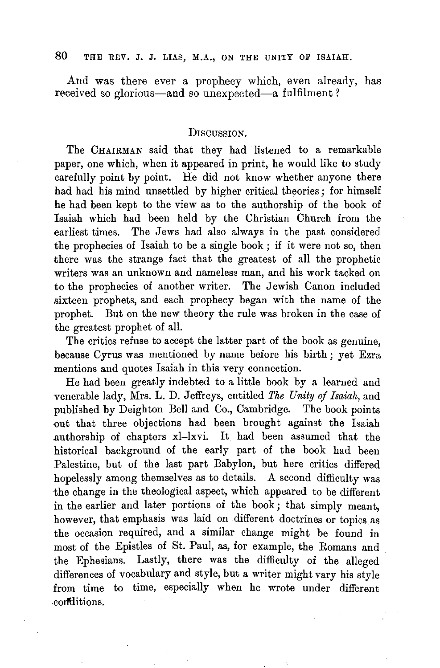And was there ever a prophecy which, even already, has received so glorious-and so unexpected-a fulfilment?

#### DISCUSSION.

The CHAIRMAN said that they had listened to a remarkable paper, one which, when it appeared in print, he would like to study carefully point by point. He did not know whether anyone there had had his mind unsettled by higher critical theories; for himself he had been kept to the view as to the authorship of the book of Isaiah which had been held by the Christian Church from the earliest times. The Jews had also always in the past considered the prophecies of Isaiah to be a single book ; if it were not so, then there was the strange fact that the greatest of all the prophetic writers was an unknown and nameless man, and his work tacked on to the prophecies of another writer. The Jewish Canon included sixteen prophets, and each prophecy began with the name of the prophet. But on the new theory the rule was broken in the case of the greatest prophet of all.

The critics refuse to accept the latter part of the book as genuine, because Cyrus was mentioned by name before his birth ; yet Ezra mentions and quotes Isaiah in this very connection.

He had been greatly indebted to a little book by a learned and venerable lady, Mrs. L. D. Jeffreys, entitled *The Unity of Isaiah,* and published by Deighton Bell and Co., Cambridge. The book points out that three objections had been brought against the Isaiah .authorship of chapters xl-lxvi. It had been assumed that the historical background of the early part of the book had been Palestine, but of the last part Babylon, but here critics differed hopelessly among themselves as to details. A second difficulty was the change in the theological aspect, which appeared to be different in the earlier and later portions of the book; that simply meant, however, that emphasis was laid on different doctrines or topics as the occasion required, and a similar change might be found in most of the Epistles of St. Paul, as, for example, the Romans and the Ephesians. Lastly, there was the difficulty of the alleged differences of vocabulary and style, but a writer might vary his style from time to time, especially when he wrote under different <codtlitions.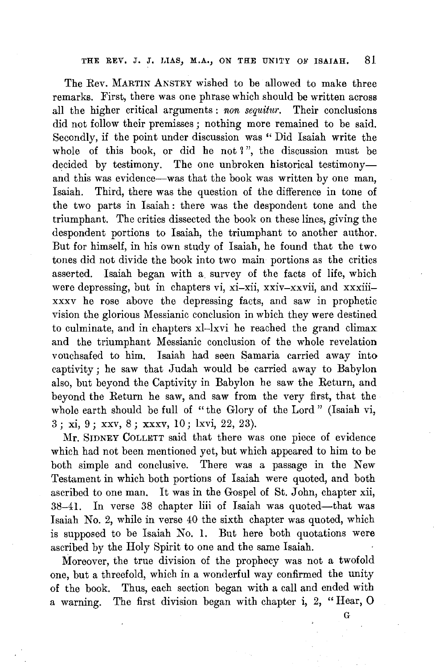The Rev. MARTIN ANSTEY wished to be allowed to make three remarks. First, there was one phrase which should be written across all the higher critical arguments : non sequitur. Their conclusions did not follow their premisses ; nothing more remained to be said. Secondly, if the point under discussion was " Did Isaiah write the whole of this book, or did he not  $\mathbb{I}$ ", the discussion must be decided by testimony. The one unbroken historical testimonyand this was evidence--was that the book was written by one man, Isaiah. Third, there was the question of the difference in tone of the two parts in Isaiah : there was the despondent tone and the triumphant. The critics dissected the book on these lines, giving the despondent portions to Isaiah, the triumphant to another author. But for himself, in his own study of Isaiah, he found that the two tones did not divide the book into two main portions as the critics asserted. Isaiah began with a survey of the facts of life, which were depressing, but in chapters vi, xi-xii, xxiv-xxvii, and xxxiiixxxv he rose above the depressing facts, and saw in prophetic vision the glorious Messianic conclusion in which they were destined to culminate, and in chapters xl-lxvi he reached the grand climax and the triumphant Messianic conclusion of the whole revelation vouchsafed to him. Isaiah had seen Samaria carried away into captivity; he saw that Judah would be carried away to Babylon also, but beyond the Captivity in Babylon he saw the Return, and beyond the Return he saw, and saw from the very first, that the whole earth should be full of "the Glory of the Lord" (Isaiah vi, 3; xi, 9; xxv, 8; xxxv, 10; lxvi, 22, 23).

Mr. SIDNEY COLLETT said that there was one piece of evidence which had not been mentioned yet, but which appeared to him to be both simple and conclusive. There was a passage in the New Testament in which both portions of Isaiah were quoted, and both ascribed to one man. It was in the Gospel of St. John, chapter xii, 38-41. In verse 38 chapter liii of Isaiah was quoted--that was Isaiah No. 2, while in verse 40 the sixth chapter was quoted, which is supposed to be Isaiah No. 1. But here both quotations were ascribed by the Holy Spirit to one and the same Isaiah.

Moreover, the true division of the prophecy was not a twofold one, but a threefold, which in a wonderful way confirmed the unity of the book. Thus, each section began with a call and ended with a warning. The first division began with chapter i, 2, "Hear, 0

G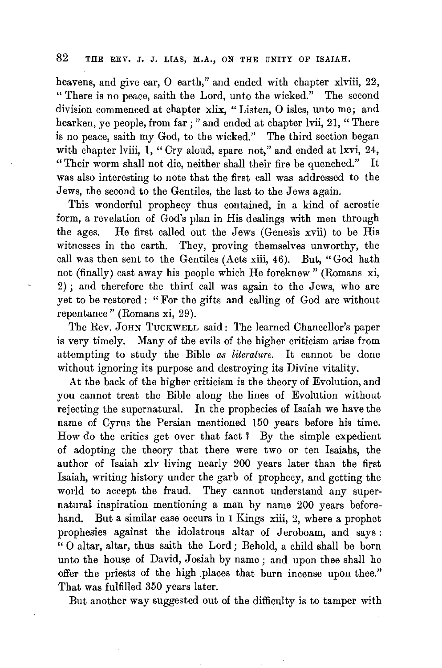heavens, and give ear, O earth," and ended with chapter xlviii, 22, " There is no peace, saith the Lord, unto the wicked." The second division commenced at chapter xlix, "Listen, 0 isles, unto me; and hearken, ye people, from far;" and ended at chapter lvii, 21, "There is no peace, saith my God, to the wicked." The third section began with chapter lviii, 1, "Cry aloud, spare not," and ended at lxvi, 24, "Their worm shall not die, neither shall their fire be quenched." It was also interesting to note that the first call was addressed to the Jews, the second to the Gentiles, the last to the Jews again.

This wonderful prophecy thus contained, in a kind of acrostic form, a revelation of God's plan in His dealings with men through the ages. He first called out the Jews (Genesis xvii) to be His witnesses in the earth. They, proving themselves unworthy, the call was then sent to the Gentiles (Acts xiii, 46). But, "God hath not (finally) cast away his people which He foreknew " (Romans xi, 2) ; and therefore the third call was again to the Jews, who are yet to be restored : "For the gifts and calling of God are without repentance" (Romans xi, 29).

The Rev. JOHN TuCKWELL said: The learned Chancellor's paper is very timely. Many of the evils of the higher criticism arise from attempting to study the Bible *as literature.* It cannot be done without ignoring its purpose and destroying its Divine vitality.

At the back of the higher criticism is the theory of Evolution, and you cannot treat the Bible along the lines of Evolution without rejecting the supernatural. In the prophecies of Isaiah we have the name of Cyrus the Persian mentioned 150 years before his time. How do the critics get over that fact ? By the simple expedient of adopting the theory that there were two or ten Isaiahs, the author of Isaiah xiv living nearly 200 years later than the first Isaiah, writing history under the garb of prophecy, and getting the world to accept the fraud. They cannot understand any supernatural inspiration mentioning a man by name 200 years beforehand. But a similar case occurs in I Kings xiii, 2, where a prophet prophesies against the idolatrous altar of Jeroboam, and says : " 0 altar, altar, thus saith the Lord; Behold, a child shall be born unto the house of David, Josiah by name; and upon thee shall he offer the priests of the high places that burn incense upon thee." That was fulfilled 350 years later.

But another way suggested out of the difficulty is to tamper with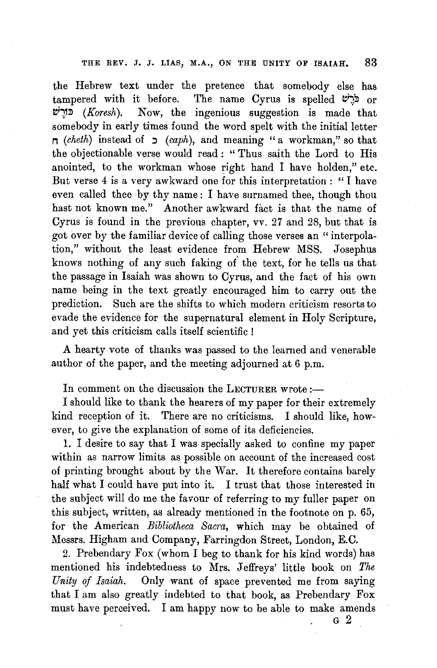the Hebrew text under the pretence that somebody else has tampered with it before. The name Cyrus is spelled  $\mathcal{C}$ יבר or **~~J!l** *(Koresh).* Now, the ingenious suggestion is made that somebody in early times found the word spelt with the initial letter  $\sigma$  *(cheth)* instead of  $\sigma$  *(caph),* and meaning "a workman," so that the objectionable verse would read : " Thus saith the Lord to His anointed, to the workman whose right hand I have holden," etc. But verse 4 is a very awkward one for this interpretation: "I have even called thee by thy name : I have surnamed thee, though thou hast not known me." Another awkward fact is that the name of Cyrus is found in the previous chapter, vv. 27 and 28, but that is got over by the familiar device of calling those verses an "interpolation," without the least evidence from Hebrew MSS. Josephus knows nothing of any such faking of the text, for he tells us that the passage in Isaiah was shown to Cyrus, and the fact of his own name being in the text greatly encouraged him to carry out the prediction. Such are the shifts to which modern criticism resorts to evade the evidence for the supernatural element in Holy Scripture, and yet this criticism calls itself scientific !

A hearty vote of thanks was passed to the learned and venerable author of the paper, and the meeting adjourned at 6 p.m.

In comment on the discussion the LECTURER wrote  $:$ 

I should like to thank the hearers of my paper for their extremely kind reception of it. There are no criticisms. I should like, however, to give the explanation of some of its deficiencies.

1. I desire to say that I was specially asked to confine my paper within as narrow limits as possible on account of the increased cost of printing brought about by the War. It therefore contains barely half what I could have put into it. I trust that those interested in the subject will do me the favour of referring to my fuller paper on this subject, written, as already mentioned in the footnote on p. 65, for the American *Bibliotheca Sacra,* which may be obtained of Messrs. Higham and Company, Farringdon Street, London, E.C.

2. Prebendary Fox (whom I beg to thank for his kind words) has mentioned his indebtedness to Mrs. Jeffreys' little book on *The Unity of Isaiah.* Only want of space prevented me from saying that I am also greatly indebted to that book, as Prebendary Fox must have perceived. I am happy now to be able to make amends

G 2